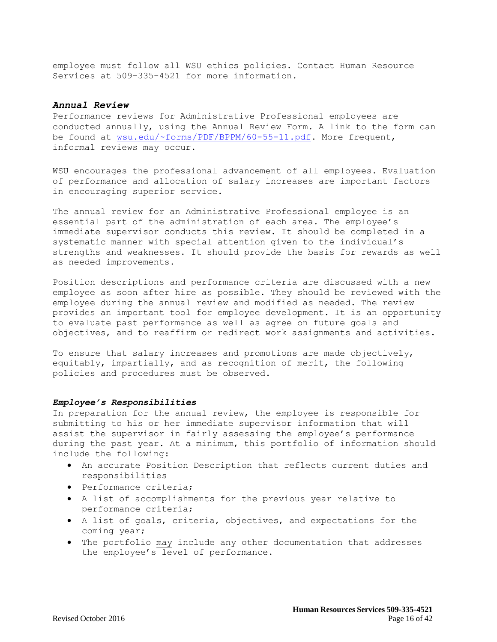employee must follow all WSU ethics policies. Contact Human Resource Services at 509-335-4521 for more information.

## *Annual Review*

Performance reviews for Administrative Professional employees are conducted annually, using the Annual Review Form. A link to the form can be found at [wsu.edu/~forms/PDF/BPPM/60-55-11.pdf.](http://www.wsu.edu/~forms/PDF/BPPM/60-55-11.pdf) More frequent, informal reviews may occur.

WSU encourages the professional advancement of all employees. Evaluation of performance and allocation of salary increases are important factors in encouraging superior service.

The annual review for an Administrative Professional employee is an essential part of the administration of each area. The employee's immediate supervisor conducts this review. It should be completed in a systematic manner with special attention given to the individual's strengths and weaknesses. It should provide the basis for rewards as well as needed improvements.

Position descriptions and performance criteria are discussed with a new employee as soon after hire as possible. They should be reviewed with the employee during the annual review and modified as needed. The review provides an important tool for employee development. It is an opportunity to evaluate past performance as well as agree on future goals and objectives, and to reaffirm or redirect work assignments and activities.

To ensure that salary increases and promotions are made objectively, equitably, impartially, and as recognition of merit, the following policies and procedures must be observed.

### *Employee's Responsibilities*

In preparation for the annual review, the employee is responsible for submitting to his or her immediate supervisor information that will assist the supervisor in fairly assessing the employee's performance during the past year. At a minimum, this portfolio of information should include the following:

- An accurate Position Description that reflects current duties and responsibilities
- Performance criteria;
- A list of accomplishments for the previous year relative to performance criteria;
- A list of goals, criteria, objectives, and expectations for the coming year;
- The portfolio may include any other documentation that addresses the employee's level of performance.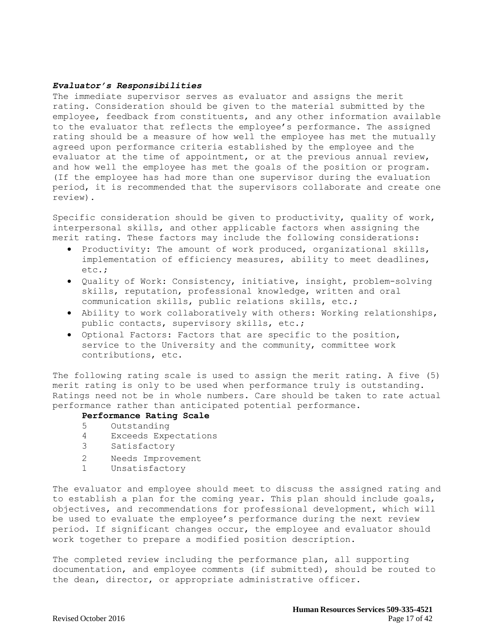## *Evaluator's Responsibilities*

The immediate supervisor serves as evaluator and assigns the merit rating. Consideration should be given to the material submitted by the employee, feedback from constituents, and any other information available to the evaluator that reflects the employee's performance. The assigned rating should be a measure of how well the employee has met the mutually agreed upon performance criteria established by the employee and the evaluator at the time of appointment, or at the previous annual review, and how well the employee has met the goals of the position or program. (If the employee has had more than one supervisor during the evaluation period, it is recommended that the supervisors collaborate and create one review).

Specific consideration should be given to productivity, quality of work, interpersonal skills, and other applicable factors when assigning the merit rating. These factors may include the following considerations:

- Productivity: The amount of work produced, organizational skills, implementation of efficiency measures, ability to meet deadlines, etc.;
- Quality of Work: Consistency, initiative, insight, problem-solving skills, reputation, professional knowledge, written and oral communication skills, public relations skills, etc.;
- Ability to work collaboratively with others: Working relationships, public contacts, supervisory skills, etc.;
- Optional Factors: Factors that are specific to the position, service to the University and the community, committee work contributions, etc.

The following rating scale is used to assign the merit rating. A five (5) merit rating is only to be used when performance truly is outstanding. Ratings need not be in whole numbers. Care should be taken to rate actual performance rather than anticipated potential performance.

# **Performance Rating Scale**

- 5 Outstanding
- 4 Exceeds Expectations
- 3 Satisfactory
- 2 Needs Improvement
- 1 Unsatisfactory

The evaluator and employee should meet to discuss the assigned rating and to establish a plan for the coming year. This plan should include goals, objectives, and recommendations for professional development, which will be used to evaluate the employee's performance during the next review period. If significant changes occur, the employee and evaluator should work together to prepare a modified position description.

The completed review including the performance plan, all supporting documentation, and employee comments (if submitted), should be routed to the dean, director, or appropriate administrative officer.